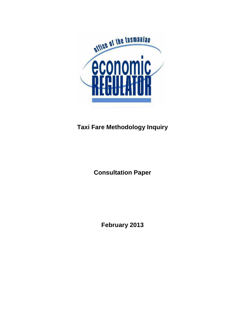

## **Taxi Fare Methodology Inquiry**

**Consultation Paper**

**February 2013**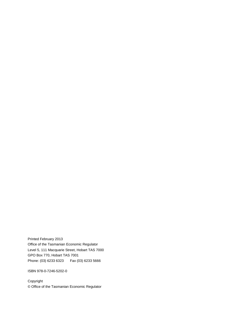Printed February 2013 Office of the Tasmanian Economic Regulator Level 5, 111 Macquarie Street, Hobart TAS 7000 GPO Box 770, Hobart TAS 7001 Phone: (03) 6233 6323 Fax (03) 6233 5666

ISBN 978-0-7246-5202-0

Copyright © Office of the Tasmanian Economic Regulator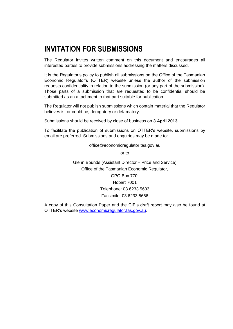## **INVITATION FOR SUBMISSIONS**

The Regulator invites written comment on this document and encourages all interested parties to provide submissions addressing the matters discussed.

It is the Regulator's policy to publish all submissions on the Office of the Tasmanian Economic Regulator's (OTTER) website unless the author of the submission requests confidentiality in relation to the submission (or any part of the submission). Those parts of a submission that are requested to be confidential should be submitted as an attachment to that part suitable for publication.

The Regulator will not publish submissions which contain material that the Regulator believes is, or could be, derogatory or defamatory.

Submissions should be received by close of business on **3 April 2013**.

To facilitate the publication of submissions on OTTER's website, submissions by email are preferred. Submissions and enquiries may be made to:

office@economicregulator.tas.gov.au

or to

Glenn Bounds (Assistant Director – Price and Service) Office of the Tasmanian Economic Regulator, GPO Box 770, Hobart 7001 Telephone: 03 6233 5603 Facsimile: 03 6233 5666

A copy of this Consultation Paper and the CIE's draft report may also be found at OTTER's website [www.economicregulator.tas.gov.au.](http://www.economicregulator.tas.gov.au/)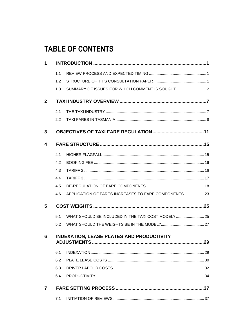# **TABLE OF CONTENTS**

| 1            |     |                                                       |  |
|--------------|-----|-------------------------------------------------------|--|
|              | 1.1 |                                                       |  |
|              | 1.2 |                                                       |  |
|              | 1.3 |                                                       |  |
| $\mathbf{2}$ |     |                                                       |  |
|              | 2.1 |                                                       |  |
|              | 2.2 |                                                       |  |
| 3            |     |                                                       |  |
| 4            |     |                                                       |  |
|              | 4.1 |                                                       |  |
|              | 4.2 |                                                       |  |
|              | 4.3 |                                                       |  |
|              | 4.4 |                                                       |  |
|              | 4.5 |                                                       |  |
|              | 4.6 | APPLICATION OF FARES INCREASES TO FARE COMPONENTS  23 |  |
| 5            |     |                                                       |  |
|              | 5.1 | WHAT SHOULD BE INCLUDED IN THE TAXI COST MODEL?  25   |  |
|              | 5.2 |                                                       |  |
| 6            |     | <b>INDEXATION, LEASE PLATES AND PRODUCTIVITY</b>      |  |
|              | 6.1 |                                                       |  |
|              | 6.2 |                                                       |  |
|              | 6.3 |                                                       |  |
|              | 6.4 |                                                       |  |
| 7            |     |                                                       |  |
|              | 7.1 |                                                       |  |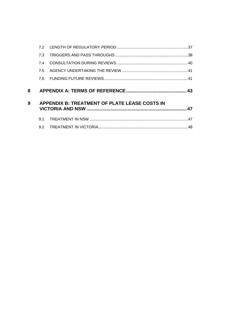|   | <b>73</b> |                                               |    |
|---|-----------|-----------------------------------------------|----|
|   | 7.4       |                                               |    |
|   | 75        |                                               |    |
|   |           |                                               |    |
|   |           |                                               |    |
| 8 |           |                                               |    |
| 9 |           | APPENDIX B: TREATMENT OF PLATE LEASE COSTS IN |    |
|   | 9.1       |                                               | 47 |
|   | 92        |                                               |    |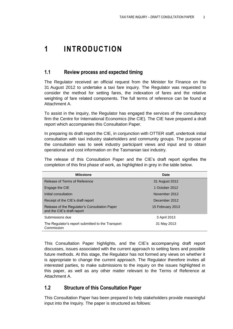## <span id="page-6-0"></span>**1 INTRODUCTION**

### <span id="page-6-1"></span>**1.1 Review process and expected timing**

The Regulator received an official request from the Minister for Finance on the 31 August 2012 to undertake a taxi fare inquiry. The Regulator was requested to consider the method for setting fares, the indexation of fares and the relative weighting of fare related components. The full terms of reference can be found at Attachment A.

To assist in the inquiry, the Regulator has engaged the services of the consultancy firm the Centre for International Economics (the CIE). The CIE have prepared a draft report which accompanies this Consultation Paper.

In preparing its draft report the CIE, in conjunction with OTTER staff, undertook initial consultation with taxi industry stakeholders and community groups. The purpose of the consultation was to seek industry participant views and input and to obtain operational and cost information on the Tasmanian taxi industry.

The release of this Consultation Paper and the CIE's draft report signifies the completion of this first phase of work, as highlighted in grey in the table below.

| <b>Milestone</b>                                                            | Date             |
|-----------------------------------------------------------------------------|------------------|
| Release of Terms of Reference                                               | 31 August 2012   |
| Engage the CIE                                                              | 1 October 2012   |
| Initial consultation                                                        | November 2012    |
| Receipt of the CIE's draft report                                           | December 2012    |
| Release of the Regulator's Consultation Paper<br>and the CIE's draft report | 15 February 2013 |
| Submissions due                                                             | 3 April 2013     |
| The Regulator's report submitted to the Transport<br>Commission             | 31 May 2013      |

This Consultation Paper highlights, and the CIE's accompanying draft report discusses, issues associated with the current approach to setting fares and possible future methods. At this stage, the Regulator has not formed any views on whether it is appropriate to change the current approach. The Regulator therefore invites all interested parties, to make submissions to the inquiry on the issues highlighted in this paper, as well as any other matter relevant to the Terms of Reference at Attachment A.

### <span id="page-6-2"></span>**1.2 Structure of this Consultation Paper**

This Consultation Paper has been prepared to help stakeholders provide meaningful input into the Inquiry. The paper is structured as follows: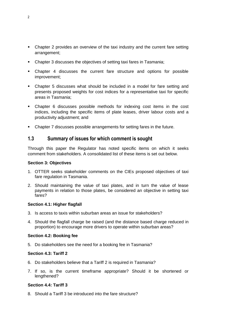- Chapter 2 provides an overview of the taxi industry and the current fare setting arrangement;
- Chapter 3 discusses the objectives of setting taxi fares in Tasmania;
- Chapter 4 discusses the current fare structure and options for possible improvement;
- Chapter 5 discusses what should be included in a model for fare setting and presents proposed weights for cost indices for a representative taxi for specific areas in Tasmania;
- Chapter 6 discusses possible methods for indexing cost items in the cost indices, including the specific items of plate leases, driver labour costs and a productivity adjustment; and
- Chapter 7 discusses possible arrangements for setting fares in the future.

## <span id="page-7-0"></span>**1.3 Summary of issues for which comment is sought**

Through this paper the Regulator has noted specific items on which it seeks comment from stakeholders. A consolidated list of these items is set out below.

#### **Section 3: Objectives**

- 1. OTTER seeks stakeholder comments on the CIEs proposed objectives of taxi fare regulation in Tasmania.
- 2. Should maintaining the value of taxi plates, and in turn the value of lease payments in relation to those plates, be considered an objective in setting taxi fares?

#### **Section 4.1: Higher flagfall**

- 3. Is access to taxis within suburban areas an issue for stakeholders?
- 4. Should the flagfall charge be raised (and the distance based charge reduced in proportion) to encourage more drivers to operate within suburban areas?

### **Section 4.2: Booking fee**

5. Do stakeholders see the need for a booking fee in Tasmania?

#### **Section 4.3: Tariff 2**

- 6. Do stakeholders believe that a Tariff 2 is required in Tasmania?
- 7. If so, is the current timeframe appropriate? Should it be shortened or lengthened?

### **Section 4.4: Tariff 3**

8. Should a Tariff 3 be introduced into the fare structure?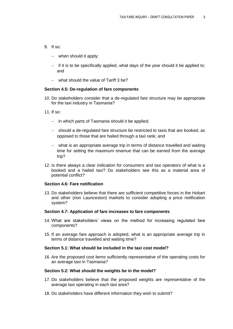- 9. If so:
	- when should it apply;
	- $\overline{a}$  if it is to be specifically applied, what days of the year should it be applied to; and
	- what should the value of Tariff 3 be?

#### **Section 4.5: De-regulation of fare components**

- 10. Do stakeholders consider that a de-regulated fare structure may be appropriate for the taxi industry in Tasmania?
- 11. If so:
	- $-$  in which parts of Tasmania should it be applied;
	- should a de-regulated fare structure be restricted to taxis that are booked, as opposed to those that are hailed through a taxi rank; and
	- what is an appropriate average trip in terms of distance travelled and waiting time for setting the maximum revenue that can be earned from the average trip?
- 12. Is there always a clear indication for consumers and taxi operators of what is a booked and a hailed taxi? Do stakeholders see this as a material area of potential conflict?

#### **Section 4.6: Fare notification**

13. Do stakeholders believe that there are sufficient competitive forces in the Hobart and other (non Launceston) markets to consider adopting a price notification system?

#### **Section 4.7: Application of fare increases to fare components**

- 14. What are stakeholders' views on the method for increasing regulated fare components?
- 15. If an average fare approach is adopted, what is an appropriate average trip in terms of distance travelled and waiting time?

#### **Section 5.1: What should be included in the taxi cost model?**

16. Are the proposed cost items sufficiently representative of the operating costs for an average taxi in Tasmania?

#### **Section 5.2: What should the weights be in the model?**

- 17. Do stakeholders believe that the proposed weights are representative of the average taxi operating in each taxi area?
- 18. Do stakeholders have different information they wish to submit?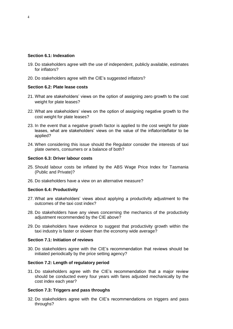### **Section 6.1: Indexation**

- 19. Do stakeholders agree with the use of independent, publicly available, estimates for inflators?
- 20. Do stakeholders agree with the CIE's suggested inflators?

### **Section 6.2: Plate lease costs**

- 21. What are stakeholders' views on the option of assigning zero growth to the cost weight for plate leases?
- 22. What are stakeholders' views on the option of assigning negative growth to the cost weight for plate leases?
- 23. In the event that a negative growth factor is applied to the cost weight for plate leases, what are stakeholders' views on the value of the inflator/deflator to be applied?
- 24. When considering this issue should the Regulator consider the interests of taxi plate owners, consumers or a balance of both?

#### **Section 6.3: Driver labour costs**

- 25. Should labour costs be inflated by the ABS Wage Price Index for Tasmania (Public and Private)?
- 26. Do stakeholders have a view on an alternative measure?

#### **Section 6.4: Productivity**

- 27. What are stakeholders' views about applying a productivity adjustment to the outcomes of the taxi cost index?
- 28. Do stakeholders have any views concerning the mechanics of the productivity adjustment recommended by the CIE above?
- 29. Do stakeholders have evidence to suggest that productivity growth within the taxi industry is faster or slower than the economy wide average?

#### **Section 7.1: Initiation of reviews**

30. Do stakeholders agree with the CIE's recommendation that reviews should be initiated periodically by the price setting agency?

#### **Section 7.2: Length of regulatory period**

31. Do stakeholders agree with the CIE's recommendation that a major review should be conducted every four years with fares adjusted mechanically by the cost index each year?

#### **Section 7.3: Triggers and pass throughs**

32. Do stakeholders agree with the CIE's recommendations on triggers and pass throughs?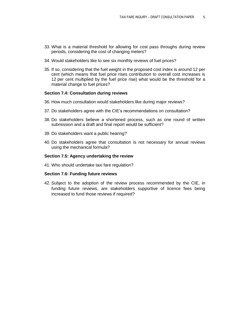- 33. What is a material threshold for allowing for cost pass throughs during review periods, considering the cost of changing meters?
- 34. Would stakeholders like to see six monthly reviews of fuel prices?
- 35. If so, considering that the fuel weight in the proposed cost index is around 12 per cent (which means that fuel price rises contribution to overall cost increases is 12 per cent multiplied by the fuel price rise) what would be the threshold for a material change to fuel prices?

#### **Section 7.4: Consultation during reviews**

- 36. How much consultation would stakeholders like during major reviews?
- 37. Do stakeholders agree with the CIE's recommendations on consultation?
- 38. Do stakeholders believe a shortened process, such as one round of written submission and a draft and final report would be sufficient?
- 39. Do stakeholders want a public hearing?
- 40. Do stakeholders agree that consultation is not necessary for annual reviews using the mechanical formula?

#### **Section 7.5: Agency undertaking the review**

41. Who should undertake taxi fare regulation?

#### **Section 7.6: Funding future reviews**

42. Subject to the adoption of the review process recommended by the CIE, in funding future reviews, are stakeholders supportive of licence fees being increased to fund those reviews if required?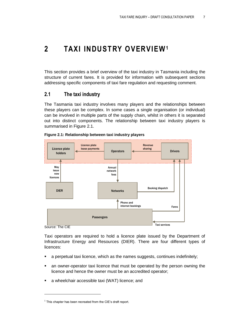## <span id="page-12-0"></span>**2 TAXI INDUSTRY OVERVIEW<sup>1</sup>**

This section provides a brief overview of the taxi industry in Tasmania including the structure of current fares. It is provided for information with subsequent sections addressing specific components of taxi fare regulation and requesting comment.

## <span id="page-12-1"></span>**2.1 The taxi industry**

The Tasmania taxi industry involves many players and the relationships between these players can be complex. In some cases a single organisation (or individual) can be involved in multiple parts of the supply chain, whilst in others it is separated out into distinct components. The relationship between taxi industry players is summarised in [Figure 2.1.](#page-12-2)



#### <span id="page-12-2"></span>**Figure 2.1: Relationship between taxi industry players**

Source: The CIE

Taxi operators are required to hold a licence plate issued by the Department of Infrastructure Energy and Resources (DIER). There are four different types of licences:

- a perpetual taxi licence, which as the names suggests, continues indefinitely;
- an owner-operator taxi licence that must be operated by the person owning the licence and hence the owner must be an accredited operator;
- a wheelchair accessible taxi (WAT) licence; and

 $1$  This chapter has been recreated from the CIE's draft report.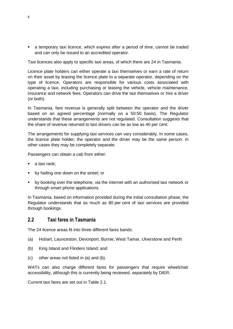a temporary taxi licence, which expires after a period of time, cannot be traded and can only be issued to an accredited operator.

Taxi licences also apply to specific taxi areas, of which there are 24 in Tasmania.

Licence plate holders can either operate a taxi themselves or earn a rate of return on their asset by leasing the licence plate to a separate operator, depending on the type of licence. Operators are responsible for various costs associated with operating a taxi, including purchasing or leasing the vehicle, vehicle maintenance, insurance and network fees. Operators can drive the taxi themselves or hire a driver (or both).

In Tasmania, fare revenue is generally split between the operator and the driver based on an agreed percentage (normally on a 50:50 basis). The Regulator understands that these arrangements are not regulated. Consultation suggests that the share of revenue returned to taxi drivers can be as low as 40 per cent.

The arrangements for supplying taxi services can vary considerably. In some cases, the licence plate holder, the operator and the driver may be the same person. In other cases they may be completely separate.

Passengers can obtain a cab from either:

- a taxi rank;
- by hailing one down on the street; or
- by booking over the telephone, via the internet with an authorised taxi network or through smart phone applications.

In Tasmania, based on information provided during the initial consultation phase, the Regulator understands that as much as 80 per cent of taxi services are provided through bookings.

### <span id="page-13-0"></span>**2.2 Taxi fares in Tasmania**

The 24 licence areas fit into three different fares bands:

- (a) Hobart, Launceston, Devonport, Burnie, West Tamar, Ulverstone and Perth
- (b) King Island and Flinders Island; and
- (c) other areas not listed in (a) and (b).

WATs can also charge different fares for passengers that require wheelchair accessibility, although this is currently being reviewed, separately by DIER.

Current taxi fares are set out in [Table 2.1.](#page-14-0)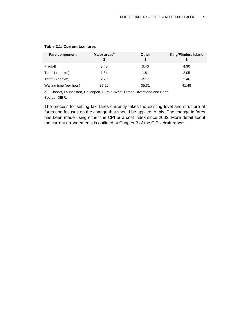| <b>Fare component</b>   | Major areas <sup>a</sup> | Other | <b>King/Flinders Island</b> |  |
|-------------------------|--------------------------|-------|-----------------------------|--|
|                         | \$                       | \$    |                             |  |
| Flagfall                | 3.40                     | 3.40  | 4.90                        |  |
| Tariff 1 (per km)       | 1.84                     | 1.81  | 2.05                        |  |
| Tariff 2 (per km)       | 2.20                     | 2.17  | 2.46                        |  |
| Waiting time (per hour) | 36.26                    | 35.31 | 41.49                       |  |

#### <span id="page-14-0"></span>**Table 2.1: Current taxi fares**

a) Hobart, Launceston, Devonport, Burnie, West Tamar, Ulverstone and Perth Source: DIER.

The process for setting taxi fares currently takes the existing level and structure of fares and focuses on the change that should be applied to this. The change in fares has been made using either the CPI or a cost index since 2003. More detail about the current arrangements is outlined at Chapter 3 of the CIE's draft report.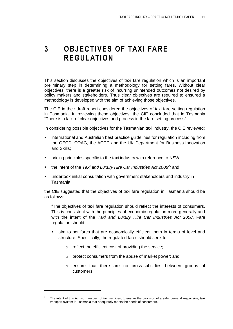## <span id="page-16-0"></span>**3 OBJECTIVES OF TAXI FARE REGULATION**

This section discusses the objectives of taxi fare regulation which is an important preliminary step in determining a methodology for setting fares. Without clear objectives, there is a greater risk of incurring unintended outcomes not desired by policy makers and stakeholders. Thus clear objectives are required to ensured a methodology is developed with the aim of achieving those objectives.

The CIE in their draft report considered the objectives of taxi fare setting regulation in Tasmania. In reviewing these objectives, the CIE concluded that in Tasmania "There is a lack of clear objectives and process in the fare setting process".

In considering possible objectives for the Tasmanian taxi industry, the CIE reviewed:

- international and Australian best practice guidelines for regulation including from the OECD, COAG, the ACCC and the UK Department for Business Innovation and Skills;
- pricing principles specific to the taxi industry with reference to NSW;
- the intent of the *Taxi and Luxury Hire Car Industries Act 2008<sup>2</sup>; and*
- undertook initial consultation with government stakeholders and industry in Tasmania.

the CIE suggested that the objectives of taxi fare regulation in Tasmania should be as follows:

―The objectives of taxi fare regulation should reflect the interests of consumers. This is consistent with the principles of economic regulation more generally and with the intent of the *Taxi and Luxury Hire Car Industries Act 2008*. Fare regulation should:

- aim to set fares that are economically efficient, both in terms of level and structure. Specifically, the regulated fares should seek to:
	- o reflect the efficient cost of providing the service;

 $\overline{a}$ 

- o protect consumers from the abuse of market power; and
- o ensure that there are no cross-subsidies between groups of customers.

<sup>2</sup> The intent of this Act is, in respect of taxi services, to ensure the provision of a safe, demand responsive, taxi transport system in Tasmania that adequately meets the needs of consumers.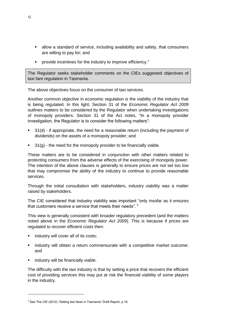- allow a standard of service, including availability and safety, that consumers are willing to pay for; and
- **•** provide incentives for the industry to improve efficiency."

The Regulator seeks stakeholder comments on the CIEs suggested objectives of taxi fare regulation in Tasmania.

The above objectives focus on the consumer of taxi services.

Another common objective in economic regulation is the viability of the industry that is being regulated. In this light, Section 31 of the *Economic Regulator Act 2009*  outlines matters to be considered by the Regulator when undertaking investigations of monopoly providers. Section 31 of the Act notes, "In a monopoly provider investigation, the Regulator is to consider the following matters":

- 31(d) if appropriate, the need for a reasonable return (including the payment of dividends) on the assets of a monopoly provider; and
- 31(g) the need for the monopoly provider to be financially viable.

These matters are to be considered in conjunction with other matters related to protecting consumers from the adverse effects of the exercising of monopoly power. The intention of the above clauses is generally to ensure prices are not set too low that may compromise the ability of the industry to continue to provide reasonable services.

Through the initial consultation with stakeholders, industry viability was a matter raised by stakeholders.

The CIE considered that industry viability was important "only insofar as it ensures that customers receive a service that meets their needs".  $3$ 

This view is generally consistent with broader regulatory precedent (and the matters noted above in the *Economic Regulator Act 2009*). This is because if prices are regulated to recover efficient costs then:

- industry will cover all of its costs;
- **EXED** industry will obtain a return commensurate with a competitive market outcome; and
- industry will be financially viable.

The difficulty with the taxi industry is that by setting a price that recovers the efficient cost of providing services this may put at risk the financial viability of some players in the industry.

 $3$  See The CIE (2012) "Setting taxi fares in Tasmania" Draft Report, p.19.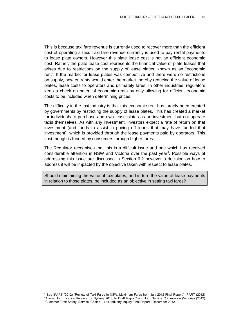This is because taxi fare revenue is currently used to recover more than the efficient cost of operating a taxi. Taxi fare revenue currently is used to pay rental payments to lease plate owners. However this plate lease cost is not an efficient economic cost. Rather, the plate lease cost represents the financial value of plate leases that arises due to restrictions on the supply of lease plates, known as an "economic rent". If the market for lease plates was competitive and there were no restrictions on supply, new entrants would enter the market thereby reducing the value of lease plates, lease costs to operators and ultimately fares. In other industries, regulators keep a check on potential economic rents by only allowing for efficient economic costs to be included when determining prices.

The difficulty in the taxi industry is that this economic rent has largely been created by governments by restricting the supply of lease plates. This has created a market for individuals to purchase and own lease plates as an investment but not operate taxis themselves. As with any investment, investors expect a rate of return on that investment (and funds to assist in paying off loans that may have funded that investment), which is provided through the lease payments paid by operators. This cost though is funded by consumers through higher fares.

The Regulator recognises that this is a difficult issue and one which has received considerable attention in NSW and Victoria over the past year<sup>4</sup>. Possible ways of addressing this issue are discussed in Section [6.2](#page-35-0) however a decision on how to address it will be impacted by the objective taken with respect to lease plates.

Should maintaining the value of taxi plates, and in turn the value of lease payments in relation to those plates, be included as an objective in setting taxi fares?

<sup>&</sup>lt;sup>4</sup> See IPART (2012) "Review of Taxi Fares in NSW, Maximum Fares from July 2012 Final Report", IPART (2012) ―Annual Taxi Licence Release for Sydney 2013/14 Draft Report‖ and Taxi Service Commission (Victoria) (2012) ―Customer First: Safety, Service, Choice – Taxi Industry Inquiry Final Report‖, December 2012,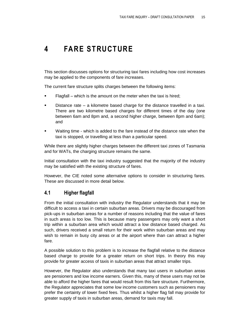## <span id="page-20-0"></span>**4 FARE STRUCTURE**

This section discusses options for structuring taxi fares including how cost increases may be applied to the components of fare increases.

The current fare structure splits charges between the following items:

- Flagfall which is the amount on the meter when the taxi is hired;
- Distance rate a kilometre based charge for the distance travelled in a taxi. There are two kilometre based charges for different times of the day (one between 6am and 8pm and, a second higher charge, between 8pm and 6am); and
- Waiting time which is added to the fare instead of the distance rate when the taxi is stopped, or travelling at less than a particular speed.

While there are slightly higher charges between the different taxi zones of Tasmania and for WATs, the charging structure remains the same.

Initial consultation with the taxi industry suggested that the majority of the industry may be satisfied with the existing structure of fares.

However, the CIE noted some alternative options to consider in structuring fares. These are discussed in more detail below.

## <span id="page-20-1"></span>**4.1 Higher flagfall**

From the initial consultation with industry the Regulator understands that it may be difficult to access a taxi in certain suburban areas. Drivers may be discouraged from pick-ups in suburban areas for a number of reasons including that the value of fares in such areas is too low. This is because many passengers may only want a short trip within a suburban area which would attract a low distance based charged. As such, drivers received a small return for their work within suburban areas and may wish to remain in busy city areas or at the airport where than can attract a higher fare.

A possible solution to this problem is to increase the flagfall relative to the distance based charge to provide for a greater return on short trips. In theory this may provide for greater access of taxis in suburban areas that attract smaller trips.

However, the Regulator also understands that many taxi users in suburban areas are pensioners and low income earners. Given this, many of these users may not be able to afford the higher fares that would result from this fare structure. Furthermore, the Regulator appreciates that some low income customers such as pensioners may prefer the certainty of lower fixed fees. Thus whilst a higher flag fall may provide for greater supply of taxis in suburban areas, demand for taxis may fall.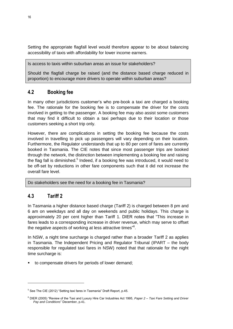Setting the appropriate flagfall level would therefore appear to be about balancing accessibility of taxis with affordability for lower income earners.

Is access to taxis within suburban areas an issue for stakeholders?

Should the flagfall charge be raised (and the distance based charge reduced in proportion) to encourage more drivers to operate within suburban areas?

## <span id="page-21-0"></span>**4.2 Booking fee**

In many other jurisdictions customer's who pre-book a taxi are charged a booking fee. The rationale for the booking fee is to compensate the driver for the costs involved in getting to the passenger. A booking fee may also assist some customers that may find it difficult to obtain a taxi perhaps due to their location or those customers seeking a short trip only.

However, there are complications in setting the booking fee because the costs involved in travelling to pick up passengers will vary depending on their location. Furthermore, the Regulator understands that up to 80 per cent of fares are currently booked in Tasmania. The CIE notes that since most passenger trips are booked through the network, the distinction between implementing a booking fee and raising the flag fall is diminished.<sup>5</sup> Indeed, if a booking fee was introduced, it would need to be off-set by reductions in other fare components such that it did not increase the overall fare level.

Do stakeholders see the need for a booking fee in Tasmania?

## <span id="page-21-1"></span>**4.3 Tariff 2**

 $\overline{a}$ 

In Tasmania a higher distance based charge (Tariff 2) is charged between 8 pm and 6 am on weekdays and all day on weekends and public holidays. This charge is approximately 20 per cent higher than Tariff 1. DIER notes that "This increase in fares leads to a corresponding increase in driver revenue, which may serve to offset the negative aspects of working at less attractive times" $6$ .

In NSW, a night time surcharge is charged rather than a broader Tariff 2 as applies in Tasmania. The Independent Pricing and Regulator Tribunal (IPART – the body responsible for regulated taxi fares in NSW) noted that that rationale for the night time surcharge is:

to compensate drivers for periods of lower demand;

 $5$  See The CIE (2012) "Setting taxi fares in Tasmania" Draft Report, p.45.

<sup>6</sup> DIER (2005) ―Review of the Taxi and Luxury Hire Car Industries Act 1995, *Paper 2 – Taxi Fare Setting and Driver Pay and Conditions*‖ December, p.41.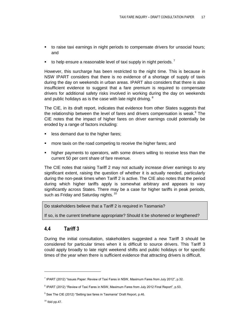- to raise taxi earnings in night periods to compensate drivers for unsocial hours; and
- to help ensure a reasonable level of taxi supply in night periods.<sup>7</sup>

However, this surcharge has been restricted to the night time. This is because in NSW IPART considers that there is no evidence of a shortage of supply of taxis during the day on weekends in urban areas. IPART also considers that there is also insufficient evidence to suggest that a fare premium is required to compensate drivers for additional safety risks involved in working during the day on weekends and public holidays as is the case with late night driving.  $8$ 

The CIE, in its draft report, indicates that evidence from other States suggests that the relationship between the level of fares and drivers compensation is weak.<sup>9</sup> The CIE notes that the impact of higher fares on driver earnings could potentially be eroded by a range of factors including:

- less demand due to the higher fares;
- **nata)** more taxis on the road competing to receive the higher fares; and
- higher payments to operators, with some drivers willing to receive less than the current 50 per cent share of fare revenue.

The CIE notes that raising Tariff 2 may not actually increase driver earnings to any significant extent, raising the question of whether it is actually needed, particularly during the non-peak times when Tariff 2 is active. The CIE also notes that the period during which higher tariffs apply is somewhat arbitrary and appears to vary significantly across States. There may be a case for higher tariffs in peak periods, such as Friday and Saturday nights.<sup>10</sup>

Do stakeholders believe that a Tariff 2 is required in Tasmania?

If so, is the current timeframe appropriate? Should it be shortened or lengthened?

## <span id="page-22-0"></span>**4.4 Tariff 3**

During the initial consultation, stakeholders suggested a new Tariff 3 should be considered for particular times when it is difficult to source drivers. This Tariff 3 could apply broadly to late night weekend shifts and public holidays or for specific times of the year when there is sufficient evidence that attracting drivers is difficult.

 $\overline{a}$ 

<sup>&</sup>lt;sup>7</sup> IPART (2012) "Issues Paper: Review of Taxi Fares in NSW, Maximum Fares from July 2012", p.32.

 $8$  IPART (2012) "Review of Taxi Fares in NSW, Maximum Fares from July 2012 Final Report", p.53.

 $9$  See The CIE (2012) "Setting taxi fares in Tasmania" Draft Report, p.46.

 $10$  Ibid pp. 47.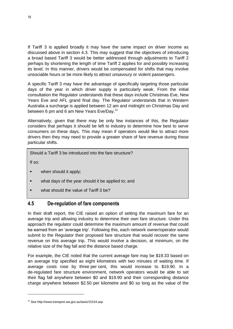If Tariff 3 is applied broadly it may have the same impact on driver income as discussed above in section 4.3. This may suggest that the objectives of introducing a broad based Tariff 3 would be better addressed through adjustments to Tariff 2 perhaps by shortening the length of time Tariff 2 applies for and possibly increasing its level. In this manner, drivers would be compensated for shifts that may involve unsociable hours or be more likely to attract unsavoury or violent passengers.

A specific Tariff 3 may have the advantage of specifically targeting those particular days of the year in which driver supply is particularly weak. From the initial consultation the Regulator understands that these days include Christmas Eve, New Years Eve and AFL grand final day. The Regulator understands that in Western Australia a surcharge is applied between 12 am and midnight on Christmas Day and between 6 pm and 6 am New Years Eve/Day.<sup>11</sup>

Alternatively, given that there may be only few instances of this, the Regulator considers that perhaps it should be left to industry to determine how best to serve consumers on these days. This may mean if operators would like to attract more drivers then they may need to provide a greater share of fare revenue during these particular shifts.

Should a Tariff 3 be introduced into the fare structure?

If so:

- when should it apply;
- what days of the year should it be applied to; and
- what should the value of Tariff 3 be?

## <span id="page-23-0"></span>**4.5 De-regulation of fare components**

In their draft report, the CIE raised an option of setting the maximum fare for an average trip and allowing industry to determine their own fare structure. Under this approach the regulator could determine the maximum amount of revenue that could be earned from an 'average trip'. Following this, each network owner/operator would submit to the Regulator their proposed fare structure that would recover the same revenue on this average trip. This would involve a decision, at minimum, on the relative size of the flag fall and the distance based charge.

For example, the CIE noted that the current average fare may be \$19.33 based on an average trip specified as eight kilometres with two minutes of waiting time. If average costs rose by three per cent, this would increase to \$19.90. In a de-regulated fare structure environment, network operators would be able to set their flag fall anywhere between \$0 and \$19.90 and their corresponding distance charge anywhere between \$2.50 per kilometre and \$0 so long as the value of the

<sup>18</sup>

<sup>11</sup> See http://www.transport.wa.gov.au/taxis/15154.asp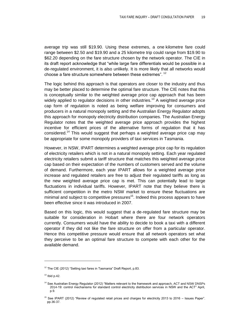average trip was still \$19.90. Using these extremes, a one kilometre fare could range between \$2.50 and \$19.90 and a 25 kilometre trip could range from \$19.90 to \$62.20 depending on the fare structure chosen by the network operator. The CIE in its draft report acknowledge that "while large fare differentials would be possible in a de-regulated environment, it is also unlikely. It is more likely that all networks would choose a fare structure somewhere between these extremes". <sup>12</sup>

The logic behind this approach is that operators are closer to the industry and thus may be better placed to determine the optimal fare structure. The CIE notes that this is conceptually similar to the weighted average price cap approach that has been widely applied to regulator decisions in other industries.<sup>13</sup> A weighted average price cap form of regulation is noted as being welfare improving for consumers and producers in a natural monopoly setting and the Australian Energy Regulator adopts this approach for monopoly electricity distribution companies. The Australian Energy Regulator notes that the weighted average price approach provides the highest incentive for efficient prices of the alternative forms of regulation that it has considered.<sup>14</sup> This would suggest that perhaps a weighted average price cap may be appropriate for some monopoly providers of taxi services in Tasmania.

However, in NSW, IPART determines a weighted average price cap for its regulation of electricity retailers which is not in a natural monopoly setting. Each year regulated electricity retailers submit a tariff structure that matches this weighted average price cap based on their expectation of the numbers of customers served and the volume of demand. Furthermore, each year IPART allows for a weighted average price increase and regulated retailers are free to adjust their regulated tariffs as long as the new weighted average price cap is met. This can potentially lead to large fluctuations in individual tariffs. However, IPART note that they believe there is sufficient competition in the metro NSW market to ensure these fluctuations are minimal and subject to competitive pressures<sup>15</sup>. Indeed this process appears to have been effective since it was introduced in 2007.

Based on this logic, this would suggest that a de-regulated fare structure may be suitable for consideration in Hobart where there are four network operators currently. Consumers would have the ability to decide to book a taxi with a different operator if they did not like the fare structure on offer from a particular operator. Hence this competitive pressure would ensure that all network operators set what they perceive to be an optimal fare structure to compete with each other for the available demand.

 $\overline{a}$ 

<sup>&</sup>lt;sup>12</sup> The CIE (2012) "Setting taxi fares in Tasmania" Draft Report, p.83.

 $13$  Ibid p.42.

<sup>&</sup>lt;sup>14</sup> See Australian Energy Regulator (2012) "Matters relevant to the framework and approach, ACT and NSW DNSPs 2014-19: control mechanisms for standard control electricity distribution services in NSW and the ACT‖ April, p.9.

 $15$  See IPART (2012) "Review of regulated retail prices and charges for electricity 2013 to 2016 – Issues Paper". pp.36-37.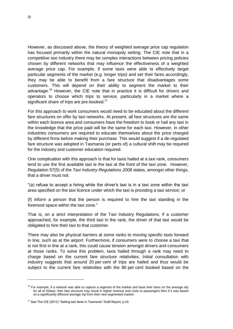However, as discussed above, the theory of weighted average price cap regulation has focused primarily within the natural monopoly setting. The CIE note that in a competitive taxi industry there may be complex interactions between pricing policies chosen by different networks that may influence the effectiveness of a weighted average price cap. For example, if some taxis were able to effectively target particular segments of the market (e.g. longer trips) and set their fares accordingly, they may be able to benefit from a fare structure that disadvantages some customers. This will depend on their ability to segment the market to their advantage.<sup>16</sup> However, the CIE note that in practice it is difficult for drivers and operators to choose which trips to service, particularly in a market where a significant share of trips are pre-booked.<sup>17</sup>

For this approach to work consumers would need to be educated about the different fare structures on offer by taxi networks. At present, all fare structures are the same within each licence area and consumers have the freedom to book or hail any taxi in the knowledge that the price paid will be the same for each taxi. However, in other industries consumers are required to educate themselves about the price charged by different firms before making their purchase. This would suggest if a de-regulated fare structure was adopted in Tasmania (or parts of) a cultural shift may be required for the industry and customer education required.

One complication with this approach is that for taxis hailed at a taxi rank, consumers tend to use the first available taxi ie the taxi at the front of the taxi zone. However, Regulation 57(5) of the *Taxi Industry Regulations 2008* states, amongst other things, that a driver must not:

―(a) refuse to accept a hiring while the driver's taxi is in a taxi zone within the taxi area specified on the taxi licence under which the taxi is providing a taxi service; or

(f) inform a person that the person is required to hire the taxi standing in the foremost space within the taxi zone."

That is, on a strict interpretation of the Taxi Industry Regulations, if a customer approached, for example, the third taxi in the rank, the driver of that taxi would be obligated to hire their taxi to that customer.

There may also be physical barriers at some ranks to moving specific taxis forward in line, such as at the airport. Furthermore, if consumers were to choose a taxi that is not first in line at a rank, this could cause tension amongst drivers and consumers at those ranks. To solve this problem, taxis hailed through a rank may need to charge based on the current fare structure relativities. Initial consultation with industry suggests that around 20 per cent of trips are hailed and thus would be subject to the current fare relativities with the 80 per cent booked based on the

 $16$  For example, if a network was able to capture a segment of the market and base their fares on the average trip for all of Hobart, their fare structure may result in higher revenue and costs to passengers then if it was based on a significantly different average trip from their new segmented market.

 $17$  See The CIE (2012) "Setting taxi fares in Tasmania" Draft Report, p.43.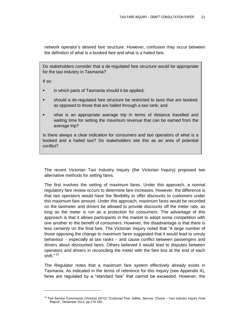network operator's desired fare structure. However, confusion may occur between the definition of what is a booked fare and what is a hailed fare.

Do stakeholders consider that a de-regulated fare structure would be appropriate for the taxi industry in Tasmania?

If so:

 $\overline{a}$ 

- in which parts of Tasmania should it be applied;
- should a de-regulated fare structure be restricted to taxis that are booked, as opposed to those that are hailed through a taxi rank; and
- what is an appropriate average trip in terms of distance travelled and waiting time for setting the maximum revenue that can be earned from the average trip?

Is there always a clear indication for consumers and taxi operators of what is a booked and a hailed taxi? Do stakeholders see this as an area of potential conflict?

The recent Victorian Taxi Industry Inquiry (the Victorian Inquiry) proposed two alternative methods for setting fares.

The first involves the setting of maximum fares. Under this approach, a normal regulatory fare review occurs to determine fare increases. However, the difference is that taxi operators would have the flexibility to offer discounts to customers under this maximum fare amount. Under this approach, maximum fares would be recorded on the taximeter and drivers be allowed to provide discounts off the meter rate, as long as the meter is run as a protection for consumers. The advantage of this approach is that it allows participants in the market to adopt some competition with one another to the benefit of consumers. However, the disadvantage is that there is less certainty on the final fare. The Victorian Inquiry noted that "A large number of those opposing the change to maximum fares suggested that it would lead to unruly behaviour  $-$  especially at taxi ranks  $-$  and cause conflict between passengers and drivers about discounted fares. Others believed it would lead to disputes between operators and drivers in reconciling the meter with the fare box at the end of each shift." <sup>18</sup>

The Regulator notes that a maximum fare system effectively already exists in Tasmania. As indicated in the terms of reference for this inquiry (see Appendix A), fares are regulated by a "standard fare" that cannot be exceeded. However, the

 $18$  Taxi Service Commission (Victoria) (2012) "Customer First: Safety, Service, Choice – Taxi Industry Inquiry Final Report", December 2012, pp.179-180.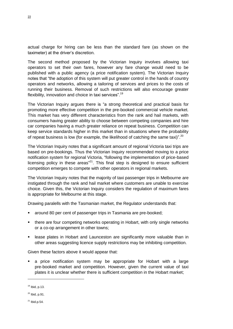actual charge for hiring can be less than the standard fare (as shown on the taximeter) at the driver's discretion.

The second method proposed by the Victorian Inquiry involves allowing taxi operators to set their own fares, however any fare change would need to be published with a public agency (a price notification system). The Victorian Inquiry notes that "the adoption of this system will put greater control in the hands of country operators and networks, allowing a tailoring of services and prices to the costs of running their business. Removal of such restrictions will also encourage greater flexibility, innovation and choice in taxi services".<sup>19</sup>

The Victorian Inquiry argues there is "a strong theoretical and practical basis for promoting more effective competition in the pre-booked commercial vehicle market. This market has very different characteristics from the rank and hail markets, with consumers having greater ability to choose between competing companies and hire car companies having a much greater reliance on repeat business. Competition can keep service standards higher in this market than in situations where the probability of repeat business is low (for example, the likelihood of catching the same taxi)".<sup>20</sup>

The Victorian Inquiry notes that a significant amount of regional Victoria taxi trips are based on pre-bookings. Thus the Victorian Inquiry recommended moving to a price notification system for regional Victoria, "following the implementation of price-based licensing policy in these areas<sup>"21</sup>. This final step is designed to ensure sufficient competition emerges to compete with other operators in regional markets.

The Victorian Inquiry notes that the majority of taxi passenger trips in Melbourne are instigated through the rank and hail market where customers are unable to exercise choice. Given this, the Victorian Inquiry considers the regulation of maximum fares is appropriate for Melbourne at this stage.

Drawing paralells with the Tasmanian market, the Regulator understands that:

- around 80 per cent of passenger trips in Tasmania are pre-booked;
- there are four competing networks operating in Hobart, with only single networks or a co-op arrangement in other towns;
- **EXEL EXECT** is lease plates in Hobart and Launceston are significantly more valuable than in other areas suggesting licence supply restrictions may be inhibiting competition.

Given these factors above it would appear that:

 a price notification system may be appropriate for Hobart with a large pre-booked market and competition. However, given the current value of taxi plates it is unclear whether there is sufficient competition in the Hobart market;

 $\overline{a}$ 

<sup>19</sup> Ibid, p.13.

 $20$  Ibid, p.91.

 $^{21}$  Ibid.p.54.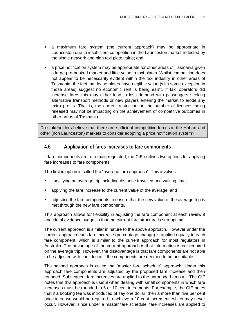- a maximum fare system (the current approach) may be appropriate in Launceston due to insufficient competition in the Launceston market reflected by the single network and high taxi plate value; and
- a price notification system may be appropriate for other areas of Tasmania given a large pre-booked market and little value in taxi plates. Whilst competition does not appear to be necessarity evident within the taxi industry in other areas of Tasmania, the fact that lease plates have neglible value (with some exception in those areas) suggest no economic rent is being earnt. If taxi operators did increase fares this may either lead to less demand with passengers seeking alternative transport methods or new players entering the market to erode any extra profits. That is, the current restriction on the number of licences being released may not be impacting on the achievement of competitive outcomes in other areas of Tasmania.

Do stakeholders believe that there are sufficient competitive forces in the Hobart and other (non Launceston) markets to consider adopting a price notification system?

## <span id="page-28-0"></span>**4.6 Application of fares increases to fare components**

If fare components are to remain regulated, the CIE outlines two options for applying fare increases to fare components.

The first is option is called the "average fare approach". This involves:

- specifying an average trip including distance travelled and waiting time;
- applying the fare increase to the current value of the average; and
- adjusting the fare components to ensure that the new value of the average trip is met through the new fare components.

This approach allows for flexibility in adjusting the fare component at each review if anecdotal evidence suggests that the current fare structure is sub-optimal.

The current approach is similar in nature to the above approach. However under the current approach each fare increase (percentage change) is applied equally to each fare component, which is similar to the current approach for most regulators in Australia. The advantage of the current approach is that information is not required on the average trip. However, the disadvantage is that fare components are not able to be adjusted with confidence if the components are deemed to be unsuitable.

The second approach is called the "master fare schedule" approach. Under this approach fare components are adjusted by the proposed fare increase and then rounded. Subsequent fare increases are applied to the unrounded amount. The CIE notes that this approach is useful when dealing with small components in which fare increases must be rounded to 5 or 10 cent increments. For example, the CIE notes that if a booking fee was introduced of say one dollar, then a more than five per cent price increase would be required to achieve a 10 cent increment, which may never occur. However, since under a master fare schedule, fare increases are applied to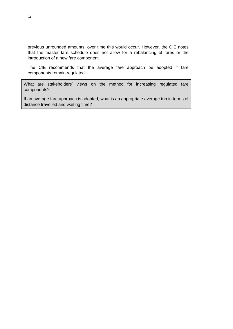previous unrounded amounts, over time this would occur. However, the CIE notes that the master fare schedule does not allow for a rebalancing of fares or the introduction of a new fare component.

The CIE recommends that the average fare approach be adopted if fare components remain regulated.

What are stakeholders' views on the method for increasing regulated fare components?

If an average fare approach is adopted, what is an appropriate average trip in terms of distance travelled and waiting time?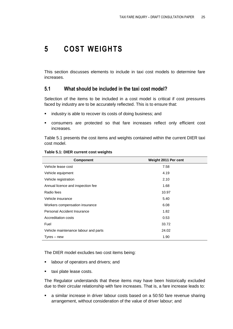## <span id="page-30-0"></span>**5 COST WEIGHTS**

This section discusses elements to include in taxi cost models to determine fare increases.

## <span id="page-30-1"></span>**5.1 What should be included in the taxi cost model?**

Selection of the items to be included in a cost model is critical if cost pressures faced by industry are to be accurately reflected. This is to ensure that:

- **I** industry is able to recover its costs of doing business; and
- consumers are protected so that fare increases reflect only efficient cost increases.

[Table 5.1](#page-30-2) presents the cost items and weights contained within the current DIER taxi cost model.

| <b>Component</b>                     | Weight 2011 Per cent |
|--------------------------------------|----------------------|
| Vehicle lease cost                   | 7.58                 |
| Vehicle equipment                    | 4.19                 |
| Vehicle registration                 | 2.10                 |
| Annual licence and inspection fee    | 1.68                 |
| Radio fees                           | 10.97                |
| Vehicle insurance                    | 5.40                 |
| Workers compensation insurance       | 6.08                 |
| Personal Accident Insurance          | 1.82                 |
| Accreditation costs                  | 0.53                 |
| Fuel                                 | 33.72                |
| Vehicle maintenance labour and parts | 24.02                |
| Tyres – new                          | 1.90                 |

#### <span id="page-30-2"></span>**Table 5.1: DIER current cost weights**

The DIER model excludes two cost items being:

- **Example 1** labour of operators and drivers; and
- **taxi plate lease costs.**

The Regulator understands that these items may have been historically excluded due to their circular relationship with fare increases. That is, a fare increase leads to:

 a similar increase in driver labour costs based on a 50:50 fare revenue sharing arrangement, without consideration of the value of driver labour; and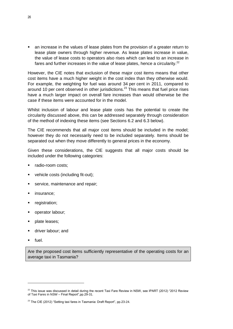an increase in the values of lease plates from the provision of a greater return to lease plate owners through higher revenue. As lease plates increase in value, the value of lease costs to operators also rises which can lead to an increase in fares and further increases in the value of lease plates, hence a circularity.<sup>22</sup>

However, the CIE notes that exclusion of these major cost items means that other cost items have a much higher weight in the cost index than they otherwise would. For example, the weighting for fuel was around 34 per cent in 2011, compared to around 10 per cent observed in other jurisdictions.<sup>23</sup> This means that fuel price rises have a much larger impact on overall fare increases than would otherwise be the case if these items were accounted for in the model.

Whilst inclusion of labour and lease plate costs has the potential to create the circularity discussed above, this can be addressed separately through consideration of the method of indexing these items (see Sections [6.2](#page-35-0) and [6.3](#page-37-0) below).

The CIE recommends that all major cost items should be included in the model; however they do not necessarily need to be included separately. Items should be separated out when they move differently to general prices in the economy.

Given these considerations, the CIE suggests that all major costs should be included under the following categories:

- radio-room costs;
- vehicle costs (including fit-out);
- service, maintenance and repair;
- insurance;
- registration;
- operator labour;
- plate leases;
- driver labour; and
- fuel.

 $\overline{a}$ 

Are the proposed cost items sufficiently representative of the operating costs for an average taxi in Tasmania?

 $22$  This issue was discussed in detail during the recent Taxi Fare Review in NSW, see IPART (2012) "2012 Review of Taxi Fares in NSW - Final Report", pp. 29-31.

 $23$  The CIE (2012) "Setting taxi fares in Tasmania: Draft Report", pp.23-24.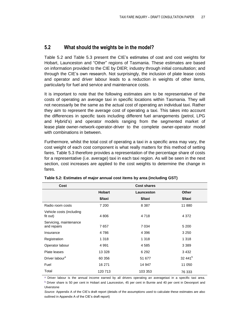## <span id="page-32-0"></span>**5.2 What should the weights be in the model?**

[Table 5.2](#page-32-1) and [Table 5.3](#page-33-0) present the CIE's estimates of cost and cost weights for Hobart, Launceston and "Other" regions of Tasmania. These estimates are based on information provided to the CIE by DIER; industry through initial consultation; and through the CIE's own research. Not surprisingly, the inclusion of plate lease costs and operator and driver labour leads to a reduction in weights of other items, particularly for fuel and service and maintenance costs.

It is important to note that the following estimates aim to be representative of the costs of operating an average taxi in specific locations within Tasmania. They will not necessarily be the same as the actual cost of operating an individual taxi. Rather they aim to represent the average cost of operating a taxi. This takes into account the differences in specific taxis including different fuel arrangements (petrol, LPG and Hybrid's) and operator models ranging from the segmented market of lease plate owner-network-operator-driver to the complete owner-operator model with combinations in between.

Furthermore, whilst the total cost of operating a taxi in a specific area may vary, the cost weight of each cost component is what really matters for this method of setting fares. [Table 5.3](#page-33-0) therefore provides a representation of the percentage share of costs for a representative (i.e. average) taxi in each taxi region. As will be seen in the next section, cost increases are applied to the cost weights to determine the change in fares.

| Cost                                  | <b>Cost shares</b> |            |                     |
|---------------------------------------|--------------------|------------|---------------------|
|                                       | <b>Hobart</b>      | Launceston | <b>Other</b>        |
|                                       | \$/taxi            | \$/taxi    | \$/taxi             |
| Radio room costs                      | 7 200              | 8 3 8 7    | 11 880              |
| Vehicle costs (including<br>fit out)  | 4 8 0 6            | 4718       | 4 3 7 2             |
| Servicing, maintenance<br>and repairs | 7657               | 7 0 34     | 5 200               |
| Insurance                             | 4786               | 4 3 9 6    | 3 2 5 0             |
| Registration                          | 1 3 1 8            | 1 3 1 8    | 1 3 1 8             |
| Operator labour                       | 4991               | 4 5 8 5    | 3 3 8 9             |
| Plate leases                          | 13 3 28            | 6 2 9 2    | 3 4 3 2             |
| Driver labour <sup>a</sup>            | 60 356             | 51 677     | 32 441 <sup>b</sup> |
| Fuel                                  | 16 271             | 14 947     | 11 050              |
| Total                                 | 120 713            | 103 353    | 76 333              |

<span id="page-32-1"></span>**Table 5.2: Estimates of major annual cost items by area (including GST)**

a Driver labour is the annual income earned by all drivers operating an averagetaxi in a specific taxi area. b Driver share is 50 per cent in Hobart and Launceston, 45 per cent in Burnie and 40 per cent in Devonport and

Ulverstone

*Source:* Appendix A of the CIE's draft report (details of the assumptions used to calculate these estimates are also outlined in Appendix A of the CIE's draft report)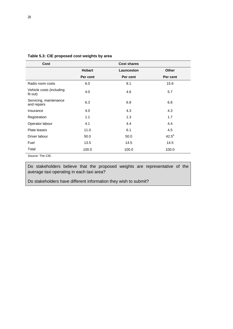| Cost                                  |               | <b>Cost shares</b> |              |
|---------------------------------------|---------------|--------------------|--------------|
|                                       | <b>Hobart</b> | Launceston         | <b>Other</b> |
|                                       | Per cent      | Per cent           | Per cent     |
| Radio room costs                      | 6.0           | 8.1                | 15.6         |
| Vehicle costs (including<br>fit out)  | 4.0           | 4.6                | 5.7          |
| Servicing, maintenance<br>and repairs | 6.3           | 6.8                | 6.8          |
| Insurance                             | 4.0           | 4.3                | 4.3          |
| Registration                          | 1.1           | 1.3                | 1.7          |
| Operator labour                       | 4.1           | 4.4                | 4.4          |
| Plate leases                          | 11.0          | 6.1                | 4.5          |
| Driver labour                         | 50.0          | 50.0               | $42.5^a$     |
| Fuel                                  | 13.5          | 14.5               | 14.5         |
| Total<br>_______                      | 100.0         | 100.0              | 100.0        |

<span id="page-33-0"></span>**Table 5.3: CIE proposed cost weights by area**

*Source:* The CIE.

Do stakeholders believe that the proposed weights are representative of the average taxi operating in each taxi area?

Do stakeholders have different information they wish to submit?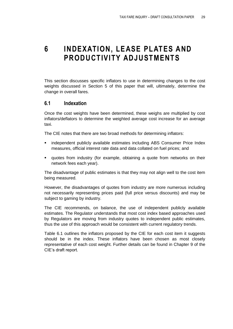## <span id="page-34-0"></span>**6 INDEXATION, LEASE PLATES AND PRODUCTIVITY ADJUSTMENTS**

This section discusses specific inflators to use in determining changes to the cost weights discussed in Section 5 of this paper that will, ultimately, determine the change in overall fares.

## <span id="page-34-1"></span>**6.1 Indexation**

Once the cost weights have been determined, these weighs are multiplied by cost inflators/deflators to determine the weighted average cost increase for an average taxi.

The CIE notes that there are two broad methods for determining inflators:

- **EXEDENTIFY Independent publicly available estimates including ABS Consumer Price Index** measures, official interest rate data and data collated on fuel prices; and
- quotes from industry (for example, obtaining a quote from networks on their network fees each year).

The disadvantage of public estimates is that they may not align well to the cost item being measured.

However, the disadvantages of quotes from industry are more numerous including not necessarily representing prices paid (full price versus discounts) and may be subject to gaming by industry.

The CIE recommends, on balance, the use of independent publicly available estimates. The Regulator understands that most cost index based approaches used by Regulators are moving from industry quotes to independent public estimates, thus the use of this approach would be consistent with current regulatory trends.

[Table 6.1](#page-35-1) outlines the inflators proposed by the CIE for each cost item it suggests should be in the index. These inflators have been chosen as most closely representative of each cost weight. Further details can be found in Chapter 9 of the CIE's draft report.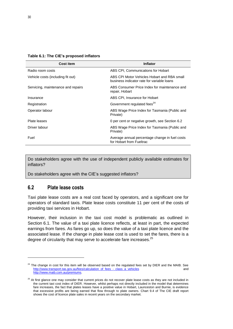<span id="page-35-1"></span>**Table 6.1: The CIE's proposed inflators**

| <b>Cost item</b>                   | <b>Inflator</b>                                                                           |
|------------------------------------|-------------------------------------------------------------------------------------------|
| Radio room costs                   | ABS CPI, Communications for Hobart                                                        |
| Vehicle costs (including fit out)  | ABS CPI Motor Vehicles Hobart and RBA small<br>business indicator rate for variable loans |
| Servicing, maintenance and repairs | ABS Consumer Price Index for maintenance and<br>repair, Hobart                            |
| Insurance                          | ABS CPI, Insurance for Hobart                                                             |
| Registration                       | Government regulated fees <sup>24</sup>                                                   |
| Operator labour                    | ABS Wage Price Index for Tasmania (Public and<br>Private)                                 |
| Plate leases                       | 0 per cent or negative growth, see Section 6.2                                            |
| Driver labour                      | ABS Wage Price Index for Tasmania (Public and<br>Private)                                 |
| Fuel                               | Average annual percentage change in fuel costs<br>for Hobart from Fueltrac                |

Do stakeholders agree with the use of independent publicly available estimates for inflators?

Do stakeholders agree with the CIE's suggested inflators?

## <span id="page-35-0"></span>**6.2 Plate lease costs**

 $\overline{a}$ 

Taxi plate lease costs are a real cost faced by operators, and a significant one for operators of standard taxis. Plate lease costs constitute 11 per cent of the costs of providing taxi services in Hobart.

However, their inclusion in the taxi cost model is problematic as outlined in Section 6.1. The value of a taxi plate licence reflects, at least in part, the expected earnings from fares. As fares go up, so does the value of a taxi plate licence and the associated lease. If the change in plate lease cost is used to set the fares, there is a degree of circularity that may serve to accelerate fare increases. $^{25}$ 

 $24$  The change in cost for this item will be observed based on the regulated fees set by DIER and the MAIB. See [http://www.transport.tas.gov.au/fees/calculation\\_of\\_fees\\_-\\_class\\_a\\_vehicles](http://www.transport.tas.gov.au/fees/calculation_of_fees_-_class_a_vehicles) and [http://www.maib.com.au/premiums.](http://www.maib.com.au/premiums)

<sup>&</sup>lt;sup>25</sup> At first glance one may consider that current prices do not recover plate lease costs as they are not included in the current taxi cost index of DIER. However, whilst perhaps not directly included in the model that determines fare increases, the fact that plates leases have a positive value in Hobart, Launceston and Burnie, is evidence that excessive profits are being earned that flow through to plate owners. Chart 9.4 of The CIE draft report shows the cost of licence plate sales in recent years on the secondary market.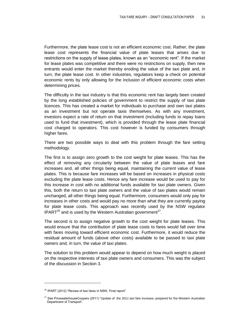Furthermore, the plate lease cost is not an efficient economic cost. Rather, the plate lease cost represents the financial value of plate leases that arises due to restrictions on the supply of lease plates, known as an "economic rent". If the market for lease plates was competitive and there were no restrictions on supply, then new entrants would enter the market thereby eroding the value of the taxi plate and, in turn, the plate lease cost. In other industries, regulators keep a check on potential economic rents by only allowing for the inclusion of efficient economic costs when determining prices.

The difficulty in the taxi industry is that this economic rent has largely been created by the long established policies of government to restrict the supply of taxi plate licences. This has created a market for individuals to purchase and own taxi plates as an investment but not operate taxis themselves. As with any investment, investors expect a rate of return on that investment (including funds to repay loans used to fund that investment), which is provided through the lease plate financial cost charged to operators. This cost however is funded by consumers through higher fares.

There are two possible ways to deal with this problem through the fare setting methodology.

The first is to assign zero growth to the cost weight for plate leases. This has the effect of removing any circularity between the value of plate leases and fare increases and, all other things being equal, maintaining the current value of lease plates. This is because fare increases will be based on increases in physical costs excluding the plate lease costs. Hence any fare increase would be used to pay for this increase in cost with no additional funds available for taxi plate owners. Given this, both the return to taxi plate owners and the value of taxi plates would remain unchanged, all other things being equal. Furthermore, consumers would only pay for increases in other costs and would pay no more than what they are currently paying for plate lease costs. This approach was recently used by the NSW regulator IPART $^{26}$  and is used by the Western Australian government<sup>27</sup>.

The second is to assign negative growth to the cost weight for plate leases. This would ensure that the contribution of plate lease costs to fares would fall over time with fares moving toward efficient economic cost. Furthermore, it would reduce the residual amount of funds (above other costs) available to be passed to taxi plate owners and, in turn, the value of taxi plates.

The solution to this problem would appear to depend on how much weight is placed on the respective interests of taxi plate owners and consumers. This was the subject of the discussion in Section [3.](#page-16-0)

 $\overline{a}$ 

 $26$  IPART (2012) "Review of taxi fares in NSW, Final report".

 $27$  See PricewaterhouseCoopers (2011) "Update of the 2011 taxi fare increase, prepared for the Western Australian Department of Transport".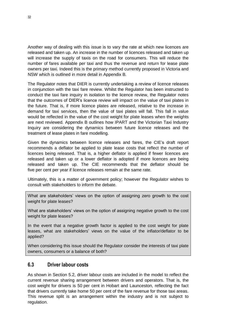Another way of dealing with this issue is to vary the rate at which new licences are released and taken up. An increase in the number of licences released and taken up will increase the supply of taxis on the road for consumers. This will reduce the number of fares available per taxi and thus the revenue and return for lease plate owners per taxi. Indeed this is the primary method currently proposed in Victoria and NSW which is outlined in more detail in Appendix B.

The Regulator notes that DIER is currently undertaking a review of licence releases in conjunction with the taxi fare review. Whilst the Regulator has been instructed to conduct the taxi fare inquiry in isolation to the licence review, the Regulator notes that the outcomes of DIER's licence review will impact on the value of taxi plates in the future. That is, if more licence plates are released, relative to the increase in demand for taxi services, then the value of taxi plates will fall. This fall in value would be reflected in the value of the cost weight for plate leases when the weights are next reviewed. Appendix B outlines how IPART and the Victorian Taxi Industry Inquiry are considering the dynamics between future licence releases and the treatment of lease plates in fare modelling.

Given the dynamics between licence releases and fares, the CIE's draft report recommends a deflator be applied to plate lease costs that reflect the number of licences being released. That is, a higher deflator is applied if fewer licences are released and taken up or a lower deflator is adopted if more licences are being released and taken up. The CIE recommends that the deflator should be five per cent per year if licence releases remain at the same rate.

Ultimately, this is a matter of government policy; however the Regulator wishes to consult with stakeholders to inform the debate.

What are stakeholders' views on the option of assigning zero growth to the cost weight for plate leases?

What are stakeholders' views on the option of assigning negative growth to the cost weight for plate leases?

In the event that a negative growth factor is applied to the cost weight for plate leases, what are stakeholders' views on the value of the inflator/deflator to be applied?

When considering this issue should the Regulator consider the interests of taxi plate owners, consumers or a balance of both?

### <span id="page-37-0"></span>**6.3 Driver labour costs**

As shown in Section [5.2,](#page-32-0) driver labour costs are included in the model to reflect the current revenue sharing arrangement between drivers and operators. That is, the cost weight for drivers is 50 per cent in Hobart and Launceston, reflecting the fact that drivers currently take home 50 per cent of the fare revenue for those taxi areas. This revenue split is an arrangement within the industry and is not subject to regulation.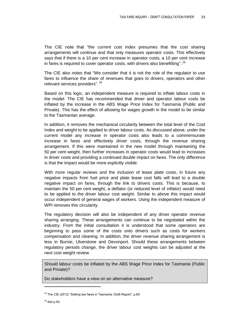The CIE note that "the current cost index presumes that the cost sharing arrangements will continue and that only measures operator costs. This effectively says that if there is a 10 per cent increase in operator costs, a 10 per cent increase in fares is required to cover operator costs, with drivers also benefitting".  $^{28}$ 

The CIE also notes that "We consider that it is not the role of the regulator to use fares to influence the share of revenues that goes to drivers, operators and other relevant services providers". <sup>29</sup>

Based on this logic, an independent measure is required to inflate labour costs in the model. The CIE has recommended that driver and operator labour costs be inflated by the increase in the ABS Wage Price Index for Tasmania (Public and Private). This has the effect of allowing for wages growth in the model to be similar to the Tasmanian average.

In addition, it removes the mechanical circularity between the total level of the Cost Index and weight to be applied to driver labour costs. As discussed above, under the current model any increase in operator costs also leads to a commensurate increase in fares and effectively driver costs, through the revenue sharing arrangement. If this were maintained in the new model through maintaining the 50 per cent weight, then further increases in operator costs would lead to increases in driver costs and providing a continued double impact on fares. The only difference is that the impact would be more explicitly visible.

With more regular reviews and the inclusion of lease plate costs, in future any negative impacts from fuel price and plate lease cost falls will lead to a double negative impact on fares, through the link to drivers costs. This is because, to maintain the 50 per cent weight, a deflator (or reduced level of inflator) would need to be applied to the driver labour cost weight. Similar to above this impact would occur independent of general wages of workers. Using the independent measure of WPI removes this circularity.

The regulatory decision will also be independent of any driver operator revenue sharing arranging. These arrangements can continue to be negotiated within the industry. From the initial consultation it is understood that some operators are beginning to pass some of the costs onto drivers such as costs for workers compensation and cleaning. In addition, the driver revenue sharing arrangement is less in Burnie, Ulverstone and Devonport. Should these arrangements between regulatory periods change, the driver labour cost weights can be adjusted at the next cost weight review.

Should labour costs be inflated by the ABS Wage Price Index for Tasmania (Public and Private)?

Do stakeholders have a view on an alternative measure?

<sup>&</sup>lt;sup>28</sup> The CIE (2012) "Setting taxi fares in Tasmania: Draft Report", p.69.

 $29$  Ibid p.69.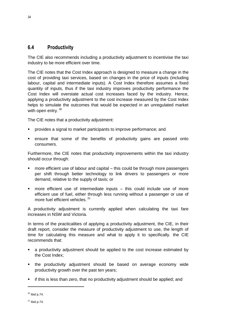## <span id="page-39-0"></span>**6.4 Productivity**

The CIE also recommends including a productivity adjustment to incentivise the taxi industry to be more efficient over time.

The CIE notes that the Cost Index approach is designed to measure a change in the cost of providing taxi services, based on changes in the price of inputs (including labour, capital and intermediate inputs). A Cost Index therefore assumes a fixed quantity of inputs, thus if the taxi industry improves productivity performance the Cost Index will overstate actual cost increases faced by the industry. Hence, applying a productivity adjustment to the cost increase measured by the Cost Index helps to simulate the outcomes that would be expected in an unregulated market with open entry. 30

The CIE notes that a productivity adjustment:

- provides a signal to market participants to improve performance; and
- ensure that some of the benefits of productivity gains are passed onto consumers.

Furthermore, the CIE notes that productivity improvements within the taxi industry should occur through:

- more efficient use of labour and capital this could be through more passengers per shift through better technology to link drivers to passengers or more demand, relative to the supply of taxis; or
- more efficient use of intermediate inputs this could include use of more efficient use of fuel, either through less running without a passenger or use of more fuel efficient vehicles.<sup>31</sup>

A productivity adjustment is currently applied when calculating the taxi fare increases in NSW and Victoria.

In terms of the practicalities of applying a productivity adjustment, the CIE, in their draft report, consider the measure of productivity adjustment to use, the length of time for calculating this measure and what to apply it to specifically. the CIE recommends that:

- a productivity adjustment should be applied to the cost increase estimated by the Cost Index;
- the productivity adjustment should be based on average economy wide productivity growth over the past ten years;
- if this is less than zero, that no productivity adjustment should be applied; and

 $30$  Ibid p.74.

 $31$  Ibid p.74.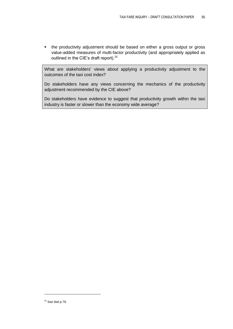the productivity adjustment should be based on either a gross output or gross value-added measures of multi-factor productivity (and appropriately applied as outlined in the CIE's draft report).<sup>32</sup>

What are stakeholders' views about applying a productivity adjustment to the outcomes of the taxi cost index?

Do stakeholders have any views concerning the mechanics of the productivity adjustment recommended by the CIE above?

Do stakeholders have evidence to suggest that productivity growth within the taxi industry is faster or slower than the economy wide average?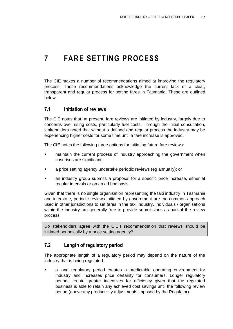## <span id="page-42-0"></span>**7 FARE SETTING PROCESS**

The CIE makes a number of recommendations aimed at improving the regulatory process. These recommendations acknowledge the current lack of a clear, transparent and regular process for setting fares in Tasmania. These are outlined below.

### <span id="page-42-1"></span>**7.1 Initiation of reviews**

The CIE notes that, at present, fare reviews are initiated by industry, largely due to concerns over rising costs, particularly fuel costs. Through the initial consultation, stakeholders noted that without a defined and regular process the industry may be experiencing higher costs for some time until a fare increase is approved.

The CIE notes the following three options for initiating future fare reviews:

- **EXED** maintain the current process of industry approaching the government when cost rises are significant;
- **a** price setting agency undertake periodic reviews (eg annually); or
- an industry group submits a proposal for a specific price increase, either at regular intervals or on an ad hoc basis.

Given that there is no single organisation representing the taxi industry in Tasmania and interstate, periodic reviews initiated by government are the common approach used in other jurisdictions to set fares in the taxi industry. Individuals / organisations within the industry are generally free to provide submissions as part of the review process.

Do stakeholders agree with the CIE's recommendation that reviews should be initiated periodically by a price setting agency?

## <span id="page-42-2"></span>**7.2 Length of regulatory period**

The appropriate length of a regulatory period may depend on the nature of the industry that is being regulated.

 a long regulatory period creates a predictable operating environment for industry and increases price certainty for consumers. Longer regulatory periods create greater incentives for efficiency given that the regulated business is able to retain any achieved cost savings until the following review period (above any productivity adjustments imposed by the Regulator).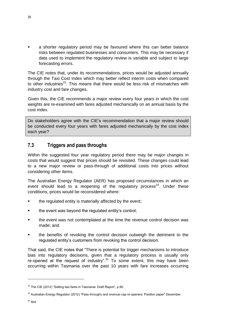a shorter regulatory period may be favoured where this can better balance risks between regulated businesses and consumers. This may be necessary if data used to implement the regulatory review is variable and subject to large forecasting errors.

The CIE notes that, under its recommendations, prices would be adjusted annually through the Taxi Cost Index which may better reflect interim costs when compared to other industries<sup>33</sup>. This means that there would be less risk of mismatches with industry cost and fare changes.

Given this, the CIE recommends a major review every four years in which the cost weights are re-examined with fares adjusted mechanically on an annual basis by the cost index.

Do stakeholders agree with the CIE's recommendation that a major review should be conducted every four years with fares adjusted mechanically by the cost index each year?

## <span id="page-43-0"></span>**7.3 Triggers and pass throughs**

Within the suggested four year regulatory period there may be major changes in costs that would suggest that prices should be revisited. These changes could lead to a new major review or pass-through of additional costs into prices without considering other items.

The Australian Energy Regulator (AER) has proposed circumstances in which an event should lead to a reopening of the regulatory process<sup>34</sup>. Under these conditions, prices would be reconsidered where:

- the regulated entity is materially affected by the event;
- the event was beyond the regulated entity's control;
- **the event was not contemplated at the time the revenue control decision was** made; and
- the benefits of revoking the control decision outweigh the detriment to the regulated entity's customers from revoking the control decision.

That said, the CIE notes that "There is potential for trigger mechanisms to introduce bias into regulatory decisions, given that a regulatory process is usually only re-opened at the request of industry".<sup>35</sup> To some extent, this may have been occurring within Tasmania over the past 10 years with fare increases occurring

 $\overline{a}$ 

<sup>&</sup>lt;sup>33</sup> The CIE (2012) "Setting taxi fares in Tasmania: Draft Report", p.90.

<sup>34</sup> Australian Energy Regulator (2012) "Pass-throughs and revenue-cap re-openers: Position paper" December.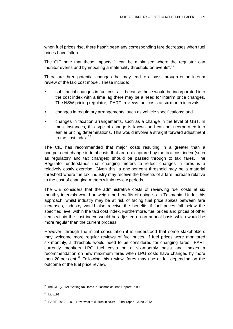when fuel prices rise, there hasn't been any corresponding fare decreases when fuel prices have fallen.

The CIE note that these impacts "...can be minimised where the regulator can monitor events and by imposing a materiality threshold on events".<sup>36</sup>

There are three potential changes that may lead to a pass through or an interim review of the taxi cost model. These include:

- substantial changes in fuel costs because these would be incorporated into the cost index with a time lag there may be a need for interim price changes. The NSW pricing regulator, IPART, reviews fuel costs at six month intervals;
- changes in regulatory arrangements, such as vehicle specifications; and
- changes in taxation arrangements, such as a change in the level of GST. In most instances, this type of change is known and can be incorporated into earlier pricing determinations. This would involve a straight forward adjustment to the cost index.<sup>37</sup>

The CIE has recommended that major costs resulting in a greater than a one per cent change in total costs that are not captured by the taxi cost index (such as regulatory and tax changes) should be passed through to taxi fares. The Regulator understands that changing meters to reflect changes in fares is a relatively costly exercise. Given this, a one per cent threshold may be a material threshold where the taxi industry may receive the benefits of a fare increase relative to the cost of changing meters within review periods.

The CIE considers that the administrative costs of reviewing fuel costs at six monthly intervals would outweigh the benefits of doing so in Tasmania. Under this approach, whilst industry may be at risk of facing fuel price spikes between fare increases, industry would also receive the benefits if fuel prices fall below the specified level within the taxi cost index. Furthermore, fuel prices and prices of other items within the cost index, would be adjusted on an annual basis which would be more regular than the current process.

However, through the initial consultation it is understood that some stakeholders may welcome more regular reviews of fuel prices. If fuel prices were monitored six-monthly, a threshold would need to be considered for changing fares. IPART currently monitors LPG fuel costs on a six-monthly basis and makes a recommendation on new maximum fares when LPG costs have changed by more than 20 per cent.<sup>38</sup> Following this review, fares may rise or fall depending on the outcome of the fuel price review.

 $\overline{a}$ 

<sup>&</sup>lt;sup>36</sup> The CIE (2012) "Setting taxi fares in Tasmania: Draft Report", p.90.

<sup>37</sup> Ibid p.91.

 $38$  IPART (2012) "2012 Review of taxi fares in NSW – Final report". June 2012.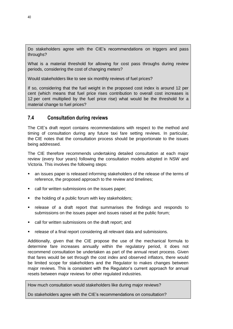Do stakeholders agree with the CIE's recommendations on triggers and pass throughs?

What is a material threshold for allowing for cost pass throughs during review periods, considering the cost of changing meters?

Would stakeholders like to see six monthly reviews of fuel prices?

If so, considering that the fuel weight in the proposed cost index is around 12 per cent (which means that fuel price rises contribution to overall cost increases is 12 per cent multiplied by the fuel price rise) what would be the threshold for a material change to fuel prices?

## <span id="page-45-0"></span>**7.4 Consultation during reviews**

The CIE's draft report contains recommendations with respect to the method and timing of consultation during any future taxi fare setting reviews. In particular, the CIE notes that the consultation process should be proportionate to the issues being addressed.

The CIE therefore recommends undertaking detailed consultation at each major review (every four years) following the consultation models adopted in NSW and Victoria. This involves the following steps:

- an issues paper is released informing stakeholders of the release of the terms of reference, the proposed approach to the review and timelines;
- call for written submissions on the issues paper;
- the holding of a public forum with key stakeholders;
- release of a draft report that summarises the findings and responds to submissions on the issues paper and issues raised at the public forum;
- call for written submissions on the draft report; and
- release of a final report considering all relevant data and submissions.

Additionally, given that the CIE propose the use of the mechanical formula to determine fare increases annually within the regulatory period, it does not recommend consultation be undertaken as part of the annual reset process. Given that fares would be set through the cost index and observed inflators, there would be limited scope for stakeholders and the Regulator to makes changes between major reviews. This is consistent with the Regulator's current approach for annual resets between major reviews for other regulated industries.

How much consultation would stakeholders like during major reviews?

Do stakeholders agree with the CIE's recommendations on consultation?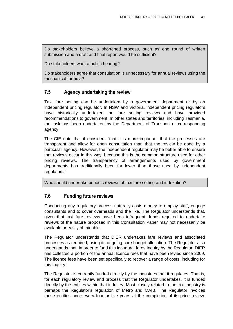Do stakeholders believe a shortened process, such as one round of written submission and a draft and final report would be sufficient?

Do stakeholders want a public hearing?

Do stakeholders agree that consultation is unnecessary for annual reviews using the mechanical formula?

## <span id="page-46-0"></span>**7.5 Agency undertaking the review**

Taxi fare setting can be undertaken by a government department or by an independent pricing regulator. In NSW and Victoria, independent pricing regulators have historically undertaken the fare setting reviews and have provided recommendations to government. In other states and territories, including Tasmania, the task has been undertaken by the Department of Transport or corresponding agency.

The CIE note that it considers "that it is more important that the processes are transparent and allow for open consultation than that the review be done by a particular agency. However, the independent regulator may be better able to ensure that reviews occur in this way, because this is the common structure used for other pricing reviews. The transparency of arrangements used by government departments has traditionally been far lower than those used by independent regulators."

Who should undertake periodic reviews of taxi fare setting and indexation?

## <span id="page-46-1"></span>**7.6 Funding future reviews**

Conducting any regulatory process naturally costs money to employ staff, engage consultants and to cover overheads and the like. The Regulator understands that, given that taxi fare reviews have been infrequent, funds required to undertake reviews of the nature proposed in this Consultation Paper may not necessarily be available or easily obtainable.

The Regulator understands that DIER undertakes fare reviews and associated processes as required, using its ongoing core budget allocation. The Regulator also understands that, in order to fund this inaugural fares Inquiry by the Regulator, DIER has collected a portion of the annual licence fees that have been levied since 2009. The licence fees have been set specifically to recover a range of costs, including for this Inquiry.

The Regulator is currently funded directly by the industries that it regulates. That is, for each regulatory review and process that the Regulator undertakes, it is funded directly by the entities within that industry. Most closely related to the taxi industry is perhaps the Regulator's regulation of Metro and MAIB. The Regulator invoices these entities once every four or five years at the completion of its price review.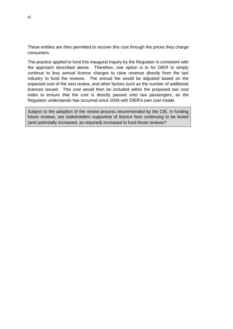These entities are then permitted to recover this cost through the prices they charge consumers.

The practice applied to fund this inaugural Inquiry by the Regulator is consistent with the approach described above. Therefore, one option is to for DIER to simply continue to levy annual licence charges to raise revenue directly from the taxi industry to fund the reviews. The annual fee would be adjusted based on the expected cost of the next review, and other factors such as the number of additional licences issued. This cost would then be included within the proposed taxi cost index to ensure that the cost is directly passed onto taxi passengers, as the Regulator understands has occurred since 2009 with DIER's own cost model.

Subject to the adoption of the review process recommended by the CIE, in funding future reviews, are stakeholders supportive of licence fees continuing to be levied (and potentially increased, as required) increased to fund those reviews?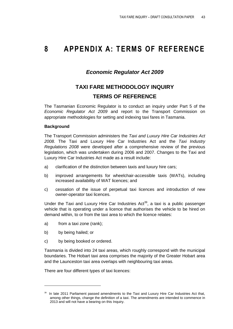## <span id="page-48-0"></span>**8 APPENDIX A: TERMS OF REFERENCE**

## *Economic Regulator Act 2009*

## **TAXI FARE METHODOLOGY INQUIRY TERMS OF REFERENCE**

The Tasmanian Economic Regulator is to conduct an inquiry under Part 5 of the *Economic Regulator Act 2009* and report to the Transport Commission on appropriate methodologies for setting and indexing taxi fares in Tasmania.

### **Background**

The Transport Commission administers the *Taxi and Luxury Hire Car Industries Act 2008*. The Taxi and Luxury Hire Car Industries Act and the *Taxi Industry Regulations 2008* were developed after a comprehensive review of the previous legislation, which was undertaken during 2006 and 2007. Changes to the Taxi and Luxury Hire Car Industries Act made as a result include:

- a) clarification of the distinction between taxis and luxury hire cars;
- b) improved arrangements for wheelchair-accessible taxis (WATs), including increased availability of WAT licences; and
- c) cessation of the issue of perpetual taxi licences and introduction of new owner-operator taxi licences.

Under the Taxi and Luxury Hire Car Industries  $Act^{39}$ , a taxi is a public passenger vehicle that is operating under a licence that authorises the vehicle to be hired on demand within, to or from the taxi area to which the licence relates:

- a) from a taxi zone (rank);
- b) by being hailed; or

 $\overline{a}$ 

c) by being booked or ordered.

Tasmania is divided into 24 taxi areas, which roughly correspond with the municipal boundaries. The Hobart taxi area comprises the majority of the Greater Hobart area and the Launceston taxi area overlaps with neighbouring taxi areas.

There are four different types of taxi licences:

<sup>&</sup>lt;sup>39</sup> In late 2011 Parliament passed amendments to the Taxi and Luxury Hire Car Industries Act that, among other things, change the definition of a taxi. The amendments are intended to commence in 2013 and will not have a bearing on this Inquiry.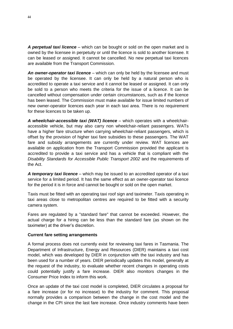*A perpetual taxi licence* – which can be bought or sold on the open market and is owned by the licensee in perpetuity or until the licence is sold to another licensee. It can be leased or assigned. It cannot be cancelled. No new perpetual taxi licences are available from the Transport Commission.

*An owner-operator taxi licence* – which can only be held by the licensee and must be operated by the licensee. It can only be held by a natural person who is accredited to operate a taxi service and it cannot be leased or assigned. It can only be sold to a person who meets the criteria for the issue of a licence. It can be cancelled without compensation under certain circumstances, such as if the licence has been leased. The Commission must make available for issue limited numbers of new owner-operator licences each year in each taxi area. There is no requirement for these licences to be taken up.

*A wheelchair-accessible taxi (WAT) licence* – which operates with a wheelchairaccessible vehicle, but may also carry non wheelchair-reliant passengers. WATs have a higher fare structure when carrying wheelchair-reliant passengers, which is offset by the provision of higher taxi fare subsidies to these passengers. The WAT fare and subsidy arrangements are currently under review. WAT licences are available on application from the Transport Commission provided the applicant is accredited to provide a taxi service and has a vehicle that is compliant with the *Disability Standards for Accessible Public Transport 2002* and the requirements of the Act.

*A temporary taxi licence* – which may be issued to an accredited operator of a taxi service for a limited period. It has the same effect as an owner-operator taxi licence for the period it is in force and cannot be bought or sold on the open market.

Taxis must be fitted with an operating taxi roof sign and taximeter. Taxis operating in taxi areas close to metropolitan centres are required to be fitted with a security camera system.

Fares are regulated by a "standard fare" that cannot be exceeded. However, the actual charge for a hiring can be less than the standard fare (as shown on the taximeter) at the driver's discretion.

#### **Current fare setting arrangements**

A formal process does not currently exist for reviewing taxi fares in Tasmania. The Department of Infrastructure, Energy and Resources (DIER) maintains a taxi cost model, which was developed by DIER in conjunction with the taxi industry and has been used for a number of years. DIER periodically updates this model, generally at the request of the industry, to evaluate whether recent changes in operating costs could potentially justify a fare increase. DIER also monitors changes in the Consumer Price Index to inform this work.

Once an update of the taxi cost model is completed, DIER circulates a proposal for a fare increase (or for no increase) to the industry for comment. This proposal normally provides a comparison between the change in the cost model and the change in the CPI since the last fare increase. Once industry comments have been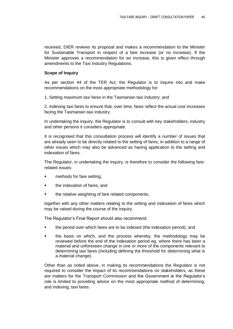received, DIER reviews its proposal and makes a recommendation to the Minister for Sustainable Transport in respect of a fare increase (or no increase). If the Minister approves a recommendation for an increase, this is given effect through amendments to the Taxi Industry Regulations.

#### **Scope of Inquiry**

As per section 44 of the TER Act, the Regulator is to inquire into and make recommendations on the most appropriate methodology for:

1. Setting maximum taxi fares in the Tasmanian taxi industry; and

2. Indexing taxi fares to ensure that, over time, fares reflect the actual cost increases facing the Tasmanian taxi industry.

In undertaking the inquiry, the Regulator is to consult with key stakeholders, industry and other persons it considers appropriate.

It is recognised that this consultation process will identify a number of issues that are already seen to be directly related to the setting of fares, in addition to a range of other issues which may also be advanced as having application to the setting and indexation of fares.

The Regulator, in undertaking the inquiry, is therefore to consider the following farerelated issues:

- methods for fare setting;
- the indexation of fares; and
- the relative weighting of fare related components,

together with any other matters relating to the setting and indexation of fares which may be raised during the course of the Inquiry.

The Regulator's Final Report should also recommend:

- the period over which fares are to be indexed (the indexation period); and
- **the basis on which, and the process whereby, the methodology may be** reviewed before the end of the indexation period eg. where there has been a material and unforeseen change in one or more of the components relevant to determining taxi fares (including defining the threshold for determining what is a material change).

Other than as noted above, in making its recommendations the Regulator is not required to consider the impact of its recommendations on stakeholders, as these are matters for the Transport Commission and the Government ie the Regulator's role is limited to providing advice on the most appropriate method of determining, and indexing, taxi fares.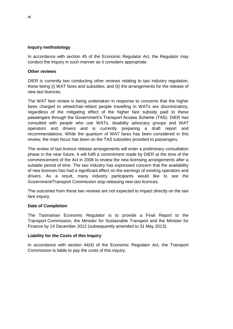### **Inquiry methodology**

In accordance with section 45 of the Economic Regulator Act, the Regulator may conduct the Inquiry in such manner as it considers appropriate.

### **Other reviews**

DIER is currently two conducting other reviews relating to taxi industry regulation, these being (i) WAT fares and subsidies; and (ii) the arrangements for the release of new taxi licences.

The WAT fare review is being undertaken in response to concerns that the higher fares charged to wheelchair-reliant people travelling in WATs are discriminatory, regardless of the mitigating effect of the higher fare subsidy paid to these passengers through the Government's Transport Access Scheme (TAS). DIER has consulted with people who use WATs, disability advocacy groups and WAT operators and drivers and is currently preparing a draft report and recommendations. While the quantum of WAT fares has been considered in this review, the main focus has been on the TAS subsidies provided to passengers.

The review of taxi licence release arrangements will enter a preliminary consultation phase in the near future. It will fulfil a commitment made by DIER at the time of the commencement of the Act in 2008 to review the new licensing arrangements after a suitable period of time. The taxi industry has expressed concern that the availability of new licences has had a significant effect on the earnings of existing operators and drivers. As a result, many industry participants would like to see the Government/Transport Commission stop releasing new taxi licences.

The outcomes from these two reviews are not expected to impact directly on the taxi fare inquiry.

#### **Date of Completion**

The Tasmanian Economic Regulator is to provide a Final Report to the Transport Commission, the Minister for Sustainable Transport and the Minister for Finance by 14 December 2012 (subsequently amended to 31 May 2013).

#### **Liability for the Costs of this Inquiry**

In accordance with section 44(4) of the Economic Regulator Act, the Transport Commission is liable to pay the costs of this inquiry.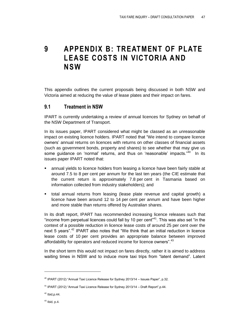<span id="page-52-0"></span>**9 APPENDIX B: TREATMENT OF PLATE LEASE COSTS IN VICTORIA AND NSW**

This appendix outlines the current proposals being discussed in both NSW and Victoria aimed at reducing the value of lease plates and their impact on fares.

## <span id="page-52-1"></span>**9.1 Treatment in NSW**

IPART is currently undertaking a review of annual licences for Sydney on behalf of the NSW Department of Transport.

In its issues paper, IPART considered what might be classed as an unreasonable impact on existing licence holders. IPART noted that "We intend to compare licence owners' annual returns on licences with returns on other classes of financial assets (such as government bonds, property and shares) to see whether that may give us some guidance on 'normal' returns, and thus on 'reasonable' impacts."<sup>40</sup> In its issues paper IPART noted that:

- annual yields to licence holders from leasing a licence have been fairly stable at around 7.5 to 8 per cent per annum for the last ten years (the CIE estimate that the current return is approximately 7.8 per cent in Tasmania based on information collected from industry stakeholders); and
- total annual returns from leasing (lease plate revenue and capital growth) a licence have been around 12 to 14 per cent per annum and have been higher and more stable than returns offered by Australian shares.

In its draft report, IPART has recommended increasing licence releases such that "income from perpetual licences could fall by 10 per cent $141}$ . This was also set "in the context of a possible reduction in licence lease costs of around 25 per cent over the next 5 years".<sup>42</sup> IPART also notes that "We think that an initial reduction in licence lease costs of 10 per cent provides an appropriate balance between improved affordability for operators and reduced income for licence owners".<sup>43</sup>

In the short term this would not impact on fares directly, rather it is aimed to address waiting times in NSW and to induce more taxi trips from "latent demand". Latent

 $\overline{a}$ 

 $40$  IPART (2012) "Annual Taxi Licence Release for Sydney 2013/14 – Issues Paper", p.32.

 $41$  IPART (2012) "Annual Taxi Licence Release for Sydney 2013/14 – Draft Report", p.44.

 $42$  Ibid, p. 44.

 $43$  Ibid, p.4.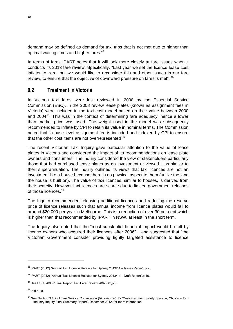demand may be defined as demand for taxi trips that is not met due to higher than optimal waiting times and higher fares.<sup>44</sup>

In terms of fares IPART notes that it will look more closely at fare issues when it conducts its 2013 fare review. Specifically, "Last year we set the licence lease cost inflator to zero, but we would like to reconsider this and other issues in our fare review, to ensure that the objective of downward pressure on fares is met". <sup>45</sup>

## <span id="page-53-0"></span>**9.2 Treatment in Victoria**

In Victoria taxi fares were last reviewed in 2008 by the Essential Service Commission (ESC). In the 2008 review lease plates (known as assignment fees in Victoria) were included in the taxi cost model based on their value between 2000 and 2004<sup>46</sup>. This was in the context of determining fare adequacy, hence a lower than market price was used. The weight used in the model was subsequently recommended to inflate by CPI to retain its value in nominal terms. The Commission noted that "a base level assignment fee is included and indexed by CPI to ensure that the other cost items are not overrepresented" $47$ .

The recent Victorian Taxi Inquiry gave particular attention to the value of lease plates in Victoria and considered the impact of its recommendations on lease plate owners and consumers. The inquiry considered the view of stakeholders particularly those that had purchased lease plates as an investment or viewed it as similar to their superannuation. The inquiry outlined its views that taxi licences are not an investment like a house because there is no physical aspect to them (unlike the land the house is built on). The value of taxi licences, similar to houses, is derived from their scarcity. However taxi licences are scarce due to limited government releases of those licences.<sup>48</sup>

The Inquiry recommended releasing additional licences and reducing the reserve price of licence releases such that annual income from licence plates would fall to around \$20 000 per year in Melbourne. This is a reduction of over 30 per cent which is higher than that recommended by IPART in NSW, at least in the short term.

The Inquiry also noted that the "most substantial financial impact would be felt by licence owners who acquired their licences after 2006"... and suggested that "the Victorian Government consider providing tightly targeted assistance to licence

<sup>&</sup>lt;sup>44</sup> IPART (2012) "Annual Taxi Licence Release for Sydney 2013/14 - Issues Paper", p.2.

 $45$  IPART (2012) "Annual Taxi Licence Release for Sydney 2013/14 – Draft Report", p.46.

<sup>&</sup>lt;sup>46</sup> See ESC (2008) "Final Report Taxi Fare Review 2007-08", p.8.

 $47$  Ibid p.10.

<sup>&</sup>lt;sup>48</sup> See Section 3.2.2 of Taxi Service Commission (Victoria) (2012) "Customer First: Safety, Service, Choice – Taxi Industry Inquiry Final Summary Report", December 2012, for more information.